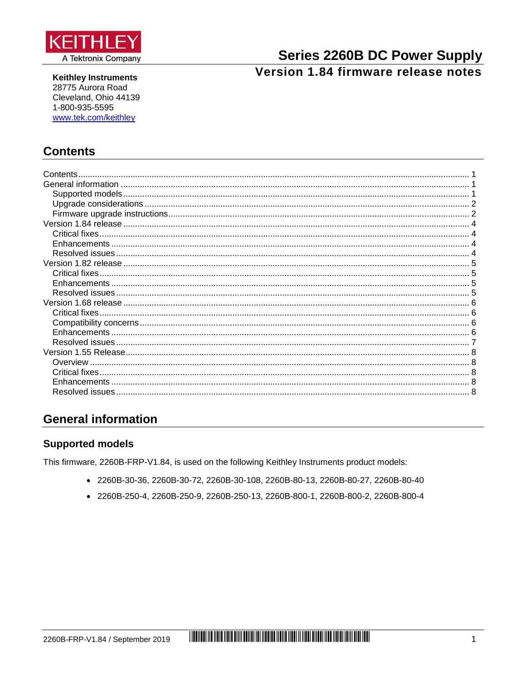

**Keithley Instruments** 28775 Aurora Road Cleveland, Ohio 44139 1-800-935-5595 www.tek.com/keithley

# **Series 2260B DC Power Supply** Version 1.84 firmware release notes

## <span id="page-0-0"></span>**Contents**

| Contents        |  |
|-----------------|--|
|                 |  |
|                 |  |
|                 |  |
|                 |  |
|                 |  |
| Critical fixes. |  |
|                 |  |
|                 |  |
|                 |  |
|                 |  |
|                 |  |
|                 |  |
|                 |  |
|                 |  |
|                 |  |
|                 |  |
|                 |  |
|                 |  |
|                 |  |
|                 |  |
|                 |  |
|                 |  |

# <span id="page-0-1"></span>**General information**

### <span id="page-0-2"></span>**Supported models**

This firmware, 2260B-FRP-V1.84, is used on the following Keithley Instruments product models:

- 2260B-30-36, 2260B-30-72, 2260B-30-108, 2260B-80-13, 2260B-80-27, 2260B-80-40
- 2260B-250-4, 2260B-250-9, 2260B-250-13, 2260B-800-1, 2260B-800-2, 2260B-800-4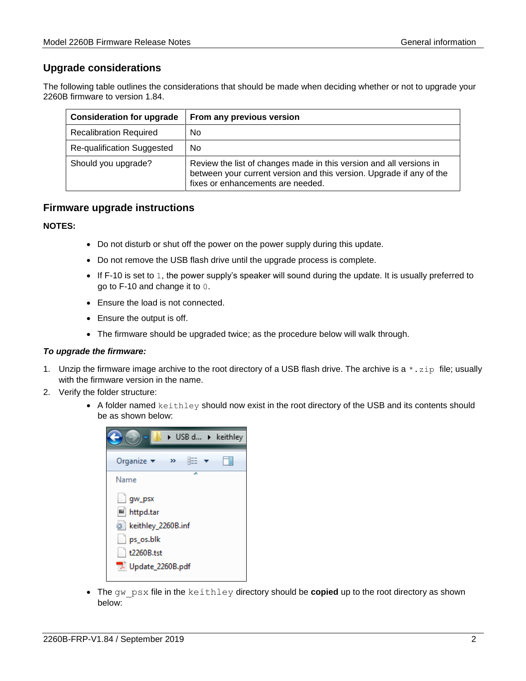### <span id="page-1-0"></span>**Upgrade considerations**

The following table outlines the considerations that should be made when deciding whether or not to upgrade your 2260B firmware to version 1.84.

| <b>Consideration for upgrade</b> | From any previous version                                                                                                                                                        |
|----------------------------------|----------------------------------------------------------------------------------------------------------------------------------------------------------------------------------|
| <b>Recalibration Required</b>    | N <sub>0</sub>                                                                                                                                                                   |
| Re-qualification Suggested       | <b>No</b>                                                                                                                                                                        |
| Should you upgrade?              | Review the list of changes made in this version and all versions in<br>between your current version and this version. Upgrade if any of the<br>fixes or enhancements are needed. |

### <span id="page-1-1"></span>**Firmware upgrade instructions**

#### **NOTES:**

- Do not disturb or shut off the power on the power supply during this update.
- Do not remove the USB flash drive until the upgrade process is complete.
- If F-10 is set to 1, the power supply's speaker will sound during the update. It is usually preferred to go to F-10 and change it to 0.
- Ensure the load is not connected.
- Ensure the output is off.
- The firmware should be upgraded twice; as the procedure below will walk through.

#### *To upgrade the firmware:*

- 1. Unzip the firmware image archive to the root directory of a USB flash drive. The archive is a  $\star$ . zip file; usually with the firmware version in the name.
- 2. Verify the folder structure:
	- A folder named keithley should now exist in the root directory of the USB and its contents should be as shown below:



• The gw\_psx file in the keithley directory should be **copied** up to the root directory as shown below: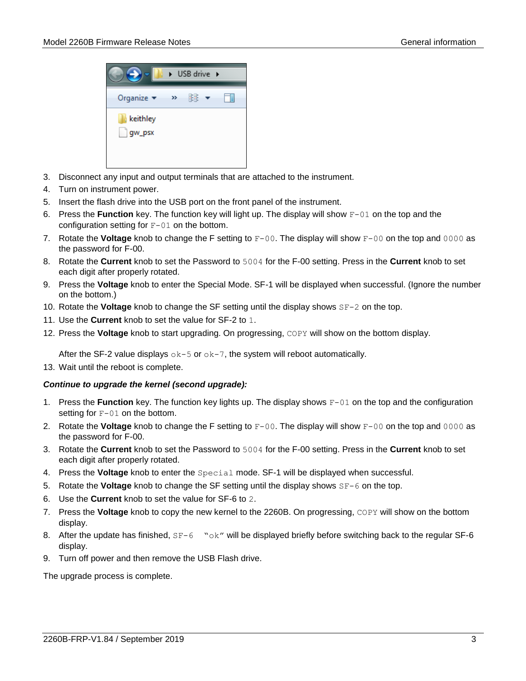

- 3. Disconnect any input and output terminals that are attached to the instrument.
- 4. Turn on instrument power.
- 5. Insert the flash drive into the USB port on the front panel of the instrument.
- 6. Press the **Function** key. The function key will light up. The display will show F-01 on the top and the configuration setting for  $F-01$  on the bottom.
- 7. Rotate the **Voltage** knob to change the F setting to F-00. The display will show F-00 on the top and 0000 as the password for F-00.
- 8. Rotate the **Current** knob to set the Password to 5004 for the F-00 setting. Press in the **Current** knob to set each digit after properly rotated.
- 9. Press the **Voltage** knob to enter the Special Mode. SF-1 will be displayed when successful. (Ignore the number on the bottom.)
- 10. Rotate the **Voltage** knob to change the SF setting until the display shows SF-2 on the top.
- 11. Use the **Current** knob to set the value for SF-2 to 1.
- 12. Press the **Voltage** knob to start upgrading. On progressing, COPY will show on the bottom display.

After the SF-2 value displays  $\circ k-5$  or  $\circ k-7$ , the system will reboot automatically.

13. Wait until the reboot is complete.

#### *Continue to upgrade the kernel (second upgrade):*

- 1. Press the **Function** key. The function key lights up. The display shows F-01 on the top and the configuration setting for  $F-01$  on the bottom.
- 2. Rotate the **Voltage** knob to change the F setting to F-00. The display will show F-00 on the top and 0000 as the password for F-00.
- 3. Rotate the **Current** knob to set the Password to 5004 for the F-00 setting. Press in the **Current** knob to set each digit after properly rotated.
- 4. Press the **Voltage** knob to enter the Special mode. SF-1 will be displayed when successful.
- 5. Rotate the **Voltage** knob to change the SF setting until the display shows SF-6 on the top.
- 6. Use the **Current** knob to set the value for SF-6 to 2.
- 7. Press the **Voltage** knob to copy the new kernel to the 2260B. On progressing, COPY will show on the bottom display.
- 8. After the update has finished, SF-6 "ok" will be displayed briefly before switching back to the regular SF-6 display.
- 9. Turn off power and then remove the USB Flash drive.

The upgrade process is complete.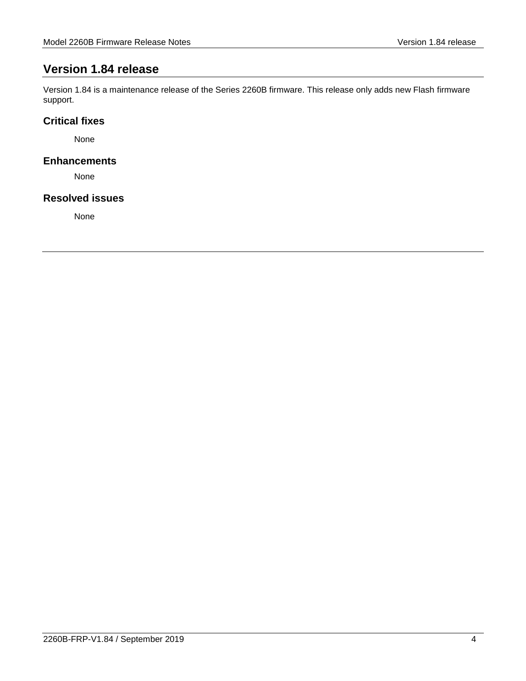# <span id="page-3-0"></span>**Version 1.84 release**

Version 1.84 is a maintenance release of the Series 2260B firmware. This release only adds new Flash firmware support.

### <span id="page-3-1"></span>**Critical fixes**

None

#### <span id="page-3-2"></span>**Enhancements**

None

#### <span id="page-3-3"></span>**Resolved issues**

None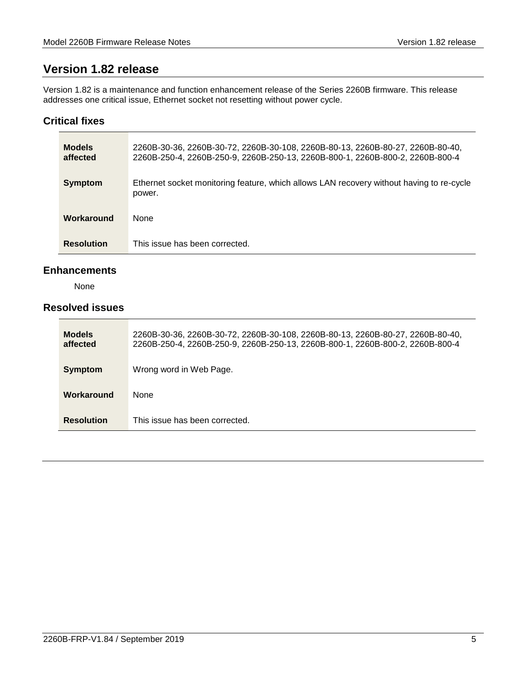# <span id="page-4-0"></span>**Version 1.82 release**

Version 1.82 is a maintenance and function enhancement release of the Series 2260B firmware. This release addresses one critical issue, Ethernet socket not resetting without power cycle.

#### <span id="page-4-1"></span>**Critical fixes**

| <b>Models</b><br>affected | 2260B-30-36, 2260B-30-72, 2260B-30-108, 2260B-80-13, 2260B-80-27, 2260B-80-40,<br>2260B-250-4, 2260B-250-9, 2260B-250-13, 2260B-800-1, 2260B-800-2, 2260B-800-4 |
|---------------------------|-----------------------------------------------------------------------------------------------------------------------------------------------------------------|
| <b>Symptom</b>            | Ethernet socket monitoring feature, which allows LAN recovery without having to re-cycle<br>power.                                                              |
| Workaround                | <b>None</b>                                                                                                                                                     |
| <b>Resolution</b>         | This issue has been corrected.                                                                                                                                  |

#### <span id="page-4-2"></span>**Enhancements**

None

### <span id="page-4-3"></span>**Resolved issues**

| <b>Models</b><br>affected | 2260B-30-36, 2260B-30-72, 2260B-30-108, 2260B-80-13, 2260B-80-27, 2260B-80-40,<br>2260B-250-4, 2260B-250-9, 2260B-250-13, 2260B-800-1, 2260B-800-2, 2260B-800-4 |
|---------------------------|-----------------------------------------------------------------------------------------------------------------------------------------------------------------|
| <b>Symptom</b>            | Wrong word in Web Page.                                                                                                                                         |
| Workaround                | None                                                                                                                                                            |
| <b>Resolution</b>         | This issue has been corrected.                                                                                                                                  |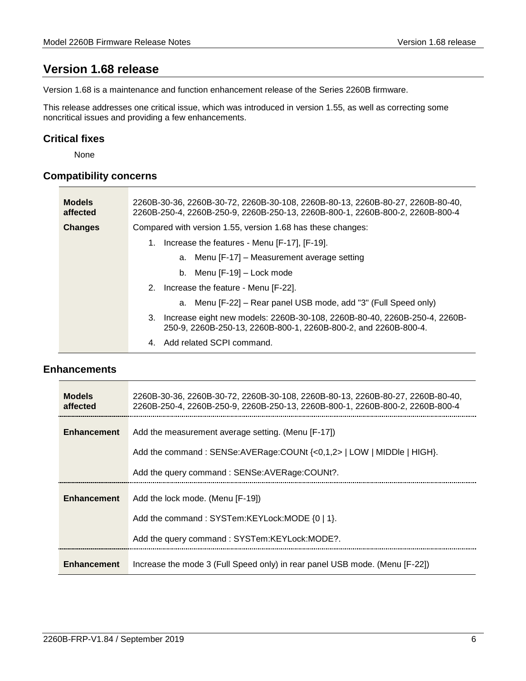# <span id="page-5-0"></span>**Version 1.68 release**

Version 1.68 is a maintenance and function enhancement release of the Series 2260B firmware.

This release addresses one critical issue, which was introduced in version 1.55, as well as correcting some noncritical issues and providing a few enhancements.

#### <span id="page-5-1"></span>**Critical fixes**

None

### <span id="page-5-2"></span>**Compatibility concerns**

| <b>Models</b><br>affected | .2260B-30-36, 2260B-30-72, 2260B-30-108, 2260B-80-13, 2260B-80-27, 2260B-80-40<br>2260B-250-4, 2260B-250-9, 2260B-250-13, 2260B-800-1, 2260B-800-2, 2260B-800-4 |
|---------------------------|-----------------------------------------------------------------------------------------------------------------------------------------------------------------|
| Changes                   | Compared with version 1.55, version 1.68 has these changes:                                                                                                     |
|                           | Increase the features - Menu [F-17], [F-19].<br>1.                                                                                                              |
|                           | a. Menu [F-17] – Measurement average setting                                                                                                                    |
|                           | b. Menu $[F-19]$ – Lock mode                                                                                                                                    |
|                           | 2. Increase the feature - Menu [F-22].                                                                                                                          |
|                           | a. Menu [F-22] – Rear panel USB mode, add "3" (Full Speed only)                                                                                                 |
|                           | 3. Increase eight new models: 2260B-30-108, 2260B-80-40, 2260B-250-4, 2260B-<br>250-9, 2260B-250-13, 2260B-800-1, 2260B-800-2, and 2260B-800-4.                 |
|                           | Add related SCPI command.<br>4.                                                                                                                                 |

#### <span id="page-5-3"></span>**Enhancements**

| <b>Models</b><br>affected | .2260B-30-36, 2260B-30-72, 2260B-30-108, 2260B-80-13, 2260B-80-27, 2260B-80-40<br>2260B-250-4, 2260B-250-9, 2260B-250-13, 2260B-800-1, 2260B-800-2, 2260B-800-4 |
|---------------------------|-----------------------------------------------------------------------------------------------------------------------------------------------------------------|
| <b>Enhancement</b>        | Add the measurement average setting. (Menu [F-17])                                                                                                              |
|                           | Add the command: SENSe:AVERage:COUNt {<0,1,2>   LOW   MIDDIe   HIGH}.                                                                                           |
|                           | Add the query command: SENSe: AVERage: COUNt?.                                                                                                                  |
| <b>Enhancement</b>        | Add the lock mode. (Menu [F-19])                                                                                                                                |
|                           | Add the command: SYSTem:KEYLock:MODE {0   1}.                                                                                                                   |
|                           | Add the query command: SYSTem:KEYLock:MODE?.                                                                                                                    |
| <b>Enhancement</b>        | Increase the mode 3 (Full Speed only) in rear panel USB mode. (Menu [F-22])                                                                                     |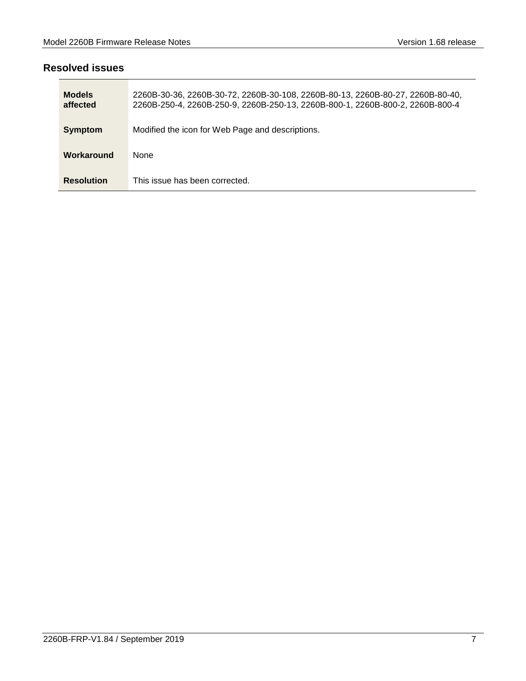### <span id="page-6-0"></span>**Resolved issues**

| <b>Models</b><br>affected | 2260B-30-36, 2260B-30-72, 2260B-30-108, 2260B-80-13, 2260B-80-27, 2260B-80-40,<br>2260B-250-4, 2260B-250-9, 2260B-250-13, 2260B-800-1, 2260B-800-2, 2260B-800-4 |
|---------------------------|-----------------------------------------------------------------------------------------------------------------------------------------------------------------|
| <b>Symptom</b>            | Modified the icon for Web Page and descriptions.                                                                                                                |
| Workaround                | None                                                                                                                                                            |
| <b>Resolution</b>         | This issue has been corrected.                                                                                                                                  |